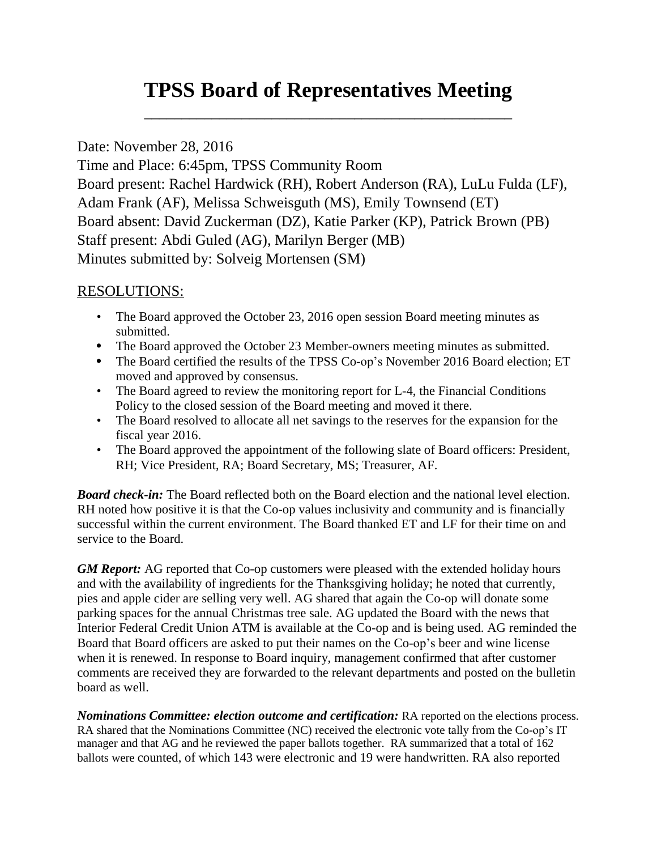## **TPSS Board of Representatives Meeting**

\_\_\_\_\_\_\_\_\_\_\_\_\_\_\_\_\_\_\_\_\_\_\_\_\_\_\_\_\_\_\_\_\_\_\_\_\_\_\_\_\_\_\_\_\_\_\_\_\_

## Date: November 28, 2016

Time and Place: 6:45pm, TPSS Community Room Board present: Rachel Hardwick (RH), Robert Anderson (RA), LuLu Fulda (LF), Adam Frank (AF), Melissa Schweisguth (MS), Emily Townsend (ET) Board absent: David Zuckerman (DZ), Katie Parker (KP), Patrick Brown (PB) Staff present: Abdi Guled (AG), Marilyn Berger (MB) Minutes submitted by: Solveig Mortensen (SM)

## RESOLUTIONS:

- The Board approved the October 23, 2016 open session Board meeting minutes as submitted.
- The Board approved the October 23 Member-owners meeting minutes as submitted.
- The Board certified the results of the TPSS Co-op's November 2016 Board election; ET moved and approved by consensus.
- The Board agreed to review the monitoring report for L-4, the Financial Conditions Policy to the closed session of the Board meeting and moved it there.
- The Board resolved to allocate all net savings to the reserves for the expansion for the fiscal year 2016.
- The Board approved the appointment of the following slate of Board officers: President, RH; Vice President, RA; Board Secretary, MS; Treasurer, AF.

*Board check-in:* The Board reflected both on the Board election and the national level election. RH noted how positive it is that the Co-op values inclusivity and community and is financially successful within the current environment. The Board thanked ET and LF for their time on and service to the Board.

*GM Report:* AG reported that Co-op customers were pleased with the extended holiday hours and with the availability of ingredients for the Thanksgiving holiday; he noted that currently, pies and apple cider are selling very well. AG shared that again the Co-op will donate some parking spaces for the annual Christmas tree sale. AG updated the Board with the news that Interior Federal Credit Union ATM is available at the Co-op and is being used. AG reminded the Board that Board officers are asked to put their names on the Co-op's beer and wine license when it is renewed. In response to Board inquiry, management confirmed that after customer comments are received they are forwarded to the relevant departments and posted on the bulletin board as well.

*Nominations Committee: election outcome and certification:* RA reported on the elections process. RA shared that the Nominations Committee (NC) received the electronic vote tally from the Co-op's IT manager and that AG and he reviewed the paper ballots together. RA summarized that a total of 162 ballots were counted, of which 143 were electronic and 19 were handwritten. RA also reported